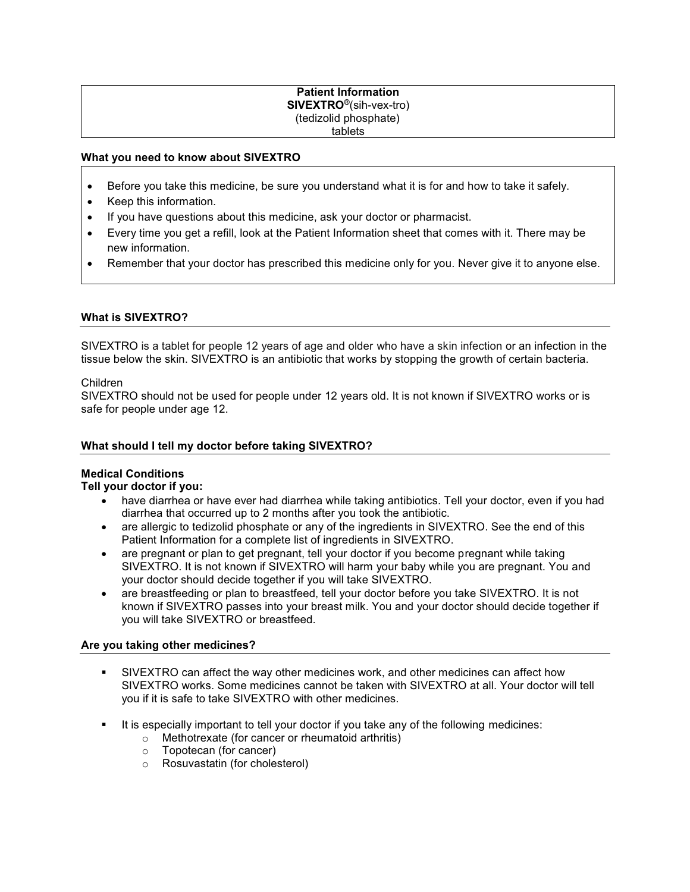#### **Patient Information SIVEXTRO®**(sih-vex-tro) (tedizolid phosphate) tablets

### **What you need to know about SIVEXTRO**

- Before you take this medicine, be sure you understand what it is for and how to take it safely.
- Keep this information.
- If you have questions about this medicine, ask your doctor or pharmacist.
- Every time you get a refill, look at the Patient Information sheet that comes with it. There may be new information.
- Remember that your doctor has prescribed this medicine only for you. Never give it to anyone else.

### **What is SIVEXTRO?**

SIVEXTRO is a tablet for people 12 years of age and older who have a skin infection or an infection in the tissue below the skin. SIVEXTRO is an antibiotic that works by stopping the growth of certain bacteria.

#### Children

SIVEXTRO should not be used for people under 12 years old. It is not known if SIVEXTRO works or is safe for people under age 12.

### **What should I tell my doctor before taking SIVEXTRO?**

#### **Medical Conditions**

#### **Tell your doctor if you:**

- have diarrhea or have ever had diarrhea while taking antibiotics. Tell your doctor, even if you had diarrhea that occurred up to 2 months after you took the antibiotic.
- are allergic to tedizolid phosphate or any of the ingredients in SIVEXTRO. See the end of this Patient Information for a complete list of ingredients in SIVEXTRO.
- are pregnant or plan to get pregnant, tell your doctor if you become pregnant while taking SIVEXTRO. It is not known if SIVEXTRO will harm your baby while you are pregnant. You and your doctor should decide together if you will take SIVEXTRO.
- are breastfeeding or plan to breastfeed, tell your doctor before you take SIVEXTRO. It is not known if SIVEXTRO passes into your breast milk. You and your doctor should decide together if you will take SIVEXTRO or breastfeed.

#### **Are you taking other medicines?**

- SIVEXTRO can affect the way other medicines work, and other medicines can affect how SIVEXTRO works. Some medicines cannot be taken with SIVEXTRO at all. Your doctor will tell you if it is safe to take SIVEXTRO with other medicines.
- It is especially important to tell your doctor if you take any of the following medicines:
	- o Methotrexate (for cancer or rheumatoid arthritis)
		- o Topotecan (for cancer)
		- o Rosuvastatin (for cholesterol)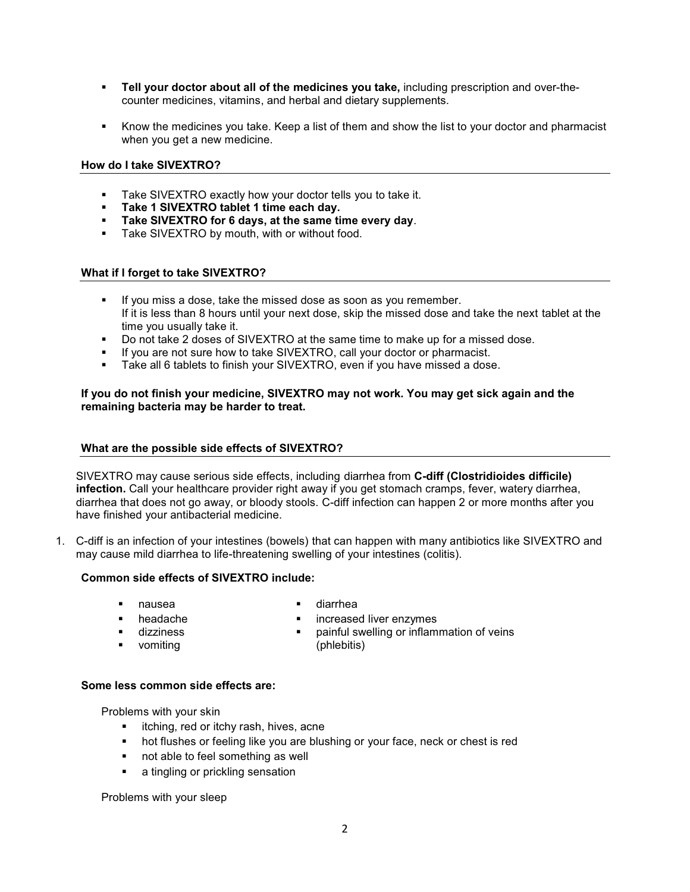- **Tell your doctor about all of the medicines you take,** including prescription and over-thecounter medicines, vitamins, and herbal and dietary supplements.
- Know the medicines you take. Keep a list of them and show the list to your doctor and pharmacist when you get a new medicine.

### **How do I take SIVEXTRO?**

- Take SIVEXTRO exactly how your doctor tells you to take it.<br>Take 1 SIVEXTRO tablet 1 time each day
- **Take 1 SIVEXTRO tablet 1 time each day.**
- **Take SIVEXTRO for 6 days, at the same time every day**.
- **Take SIVEXTRO by mouth, with or without food.**

### **What if I forget to take SIVEXTRO?**

- If you miss a dose, take the missed dose as soon as you remember. If it is less than 8 hours until your next dose, skip the missed dose and take the next tablet at the time you usually take it.
- Do not take 2 doses of SIVEXTRO at the same time to make up for a missed dose.
- If you are not sure how to take SIVEXTRO, call your doctor or pharmacist.
- Take all 6 tablets to finish your SIVEXTRO, even if you have missed a dose.

### **If you do not finish your medicine, SIVEXTRO may not work. You may get sick again and the remaining bacteria may be harder to treat.**

### **What are the possible side effects of SIVEXTRO?**

SIVEXTRO may cause serious side effects, including diarrhea from **C-diff (Clostridioides difficile) infection.** Call your healthcare provider right away if you get stomach cramps, fever, watery diarrhea, diarrhea that does not go away, or bloody stools. C-diff infection can happen 2 or more months after you have finished your antibacterial medicine.

1. C-diff is an infection of your intestines (bowels) that can happen with many antibiotics like SIVEXTRO and may cause mild diarrhea to life-threatening swelling of your intestines (colitis).

# **Common side effects of SIVEXTRO include:**

- 
- 
- dizziness
- **•** vomiting
- nausea **diarrhea**
- **headache increased liver enzymes**<br> **i** dizziness<br> **i** painful swelling or inflam
	- painful swelling or inflammation of veins (phlebitis)
- **Some less common side effects are:**

Problems with your skin

- **EXED:** itching, red or itchy rash, hives, acne
- hot flushes or feeling like you are blushing or your face, neck or chest is red
- not able to feel something as well
- **a** tingling or prickling sensation

Problems with your sleep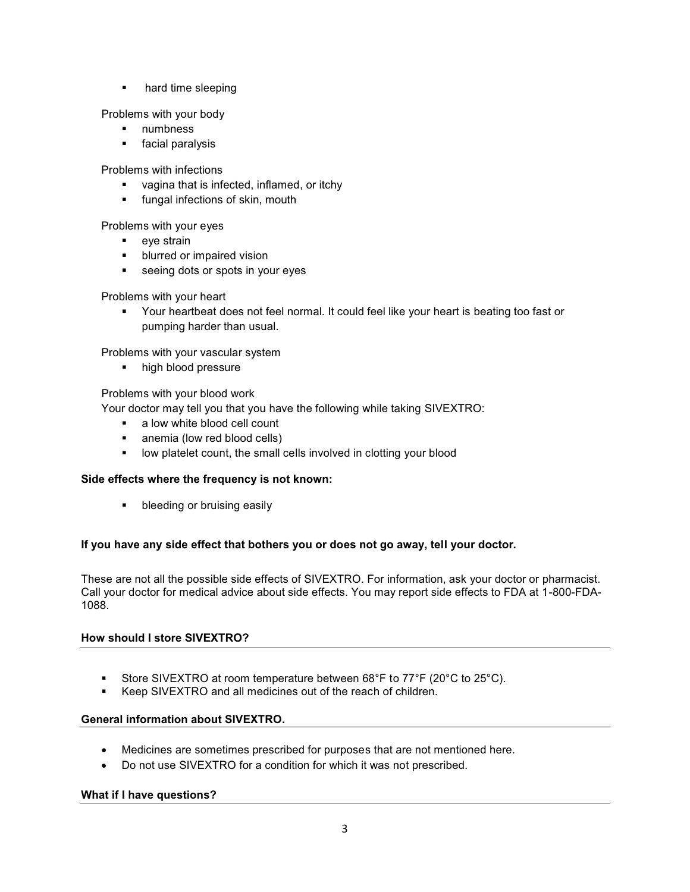• hard time sleeping

Problems with your body

- **numbness**
- **facial paralysis**

Problems with infections

- **vagina that is infected, inflamed, or itchy**
- **fungal infections of skin, mouth**

Problems with your eyes

- **eye** strain
- **blurred or impaired vision**
- **seeing dots or spots in your eyes**

Problems with your heart

 Your heartbeat does not feel normal. It could feel like your heart is beating too fast or pumping harder than usual.

Problems with your vascular system

high blood pressure

Problems with your blood work

Your doctor may tell you that you have the following while taking SIVEXTRO:

- a low white blood cell count
- anemia (low red blood cells)
- **•** low platelet count, the small cells involved in clotting your blood

## **Side effects where the frequency is not known:**

**•** bleeding or bruising easily

## **If you have any side effect that bothers you or does not go away, tell your doctor.**

These are not all the possible side effects of SIVEXTRO. For information, ask your doctor or pharmacist. Call your doctor for medical advice about side effects. You may report side effects to FDA at 1-800-FDA-1088.

## **How should I store SIVEXTRO?**

- Store SIVEXTRO at room temperature between 68°F to 77°F (20°C to 25°C).<br>■ Keen SIVEXTRO and all medicines out of the reach of children
- Keep SIVEXTRO and all medicines out of the reach of children.

## **General information about SIVEXTRO.**

- Medicines are sometimes prescribed for purposes that are not mentioned here.
- Do not use SIVEXTRO for a condition for which it was not prescribed.

## **What if I have questions?**